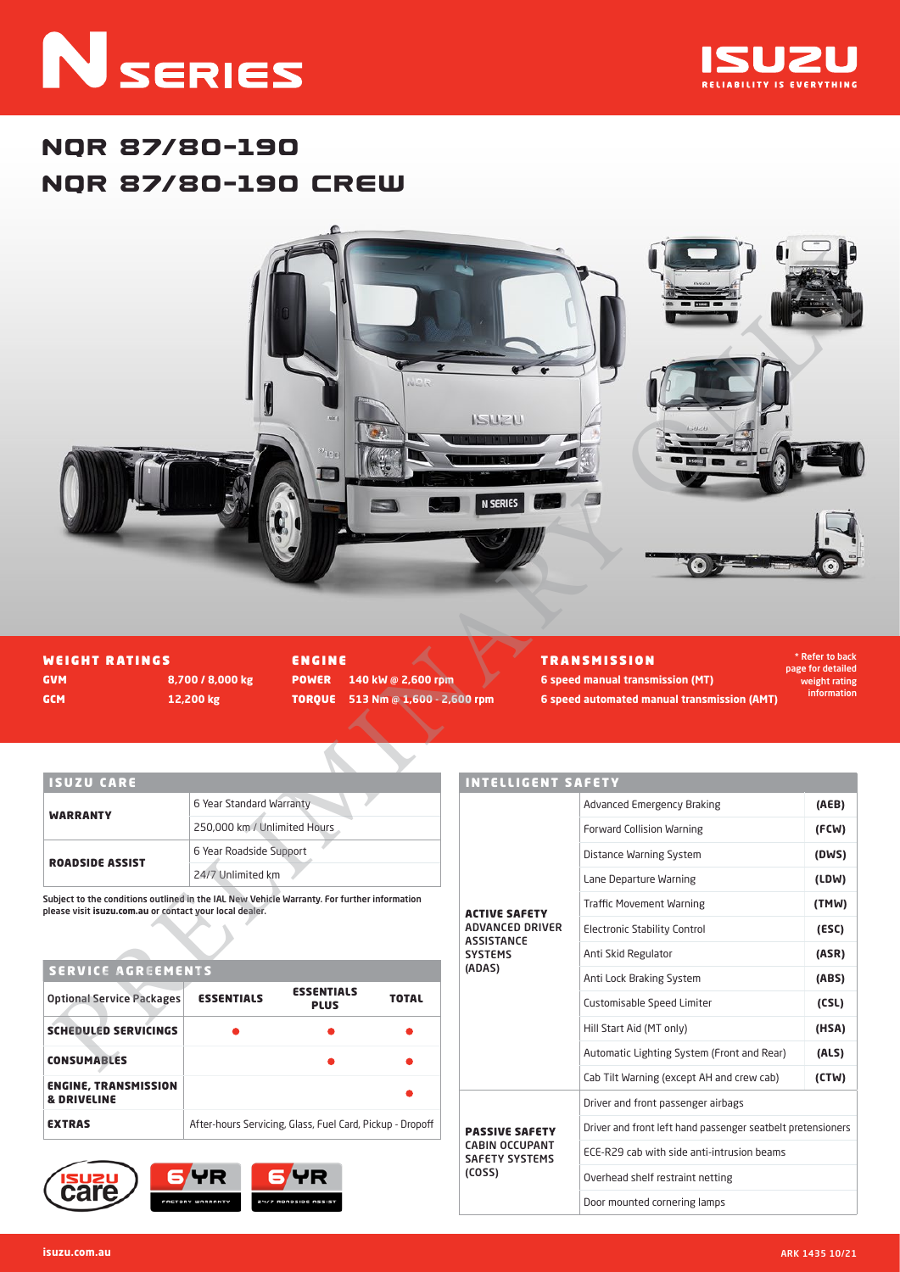# **N** SERIES



# NQR 87/80-190 NQR 87/80-190 CREW



WEIGHT RATINGS GVM **8,700 / 8,000 kg** GCM **12,200 kg**

ENGINE POWER **140 kW @ 2,600 rpm** TORQUE **513 Nm @ 1,600 - 2,600 rpm** TRANSMISSION **6 speed manual transmission (MT)**

\* Refer to back page for detailed weight rating information

## ISUZU CARE

|                        | 6 Year Standard Warranty     |
|------------------------|------------------------------|
| <b>WARRANTY</b>        | 250,000 km / Unlimited Hours |
| <b>ROADSIDE ASSIST</b> | 6 Year Roadside Support      |
|                        | 24/7 Unlimited km            |

Subject to the conditions outlined in the IAL New Vehicle Warranty. For further information please visit **isuzu.com.au** or contact your local dealer.

### SERVICE AGREEMENTS

| <b>Optional Service Packages</b>                      | <b>ESSENTIALS</b>                                         | <b>ESSENTIALS</b><br><b>PLUS</b> | <b>TOTAL</b> |  |  |  |
|-------------------------------------------------------|-----------------------------------------------------------|----------------------------------|--------------|--|--|--|
| <b>SCHEDULED SERVICINGS</b>                           |                                                           |                                  |              |  |  |  |
| <b>CONSUMABLES</b>                                    |                                                           |                                  |              |  |  |  |
| <b>ENGINE, TRANSMISSION</b><br><b>&amp; DRIVELINE</b> |                                                           |                                  |              |  |  |  |
| <b>EXTRAS</b>                                         | After-hours Servicing, Glass, Fuel Card, Pickup - Dropoff |                                  |              |  |  |  |



| <b>INTELLIGENT SAFETY</b>                      |                                                             |       |  |  |  |
|------------------------------------------------|-------------------------------------------------------------|-------|--|--|--|
|                                                | <b>Advanced Emergency Braking</b>                           | (AEB) |  |  |  |
|                                                | <b>Forward Collision Warning</b>                            | (FCW) |  |  |  |
|                                                | Distance Warning System                                     | (DWS) |  |  |  |
|                                                | Lane Departure Warning                                      | (LDW) |  |  |  |
| <b>ACTIVE SAFETY</b>                           | <b>Traffic Movement Warning</b>                             | (TMW) |  |  |  |
| <b>ADVANCED DRIVER</b><br><b>ASSISTANCE</b>    | <b>Electronic Stability Control</b>                         | (ESC) |  |  |  |
| <b>SYSTEMS</b>                                 | Anti Skid Regulator                                         | (ASR) |  |  |  |
| (ADAS)                                         | Anti Lock Braking System                                    | (ABS) |  |  |  |
|                                                | Customisable Speed Limiter                                  | (CSL) |  |  |  |
|                                                | Hill Start Aid (MT only)                                    | (HSA) |  |  |  |
|                                                | Automatic Lighting System (Front and Rear)                  | (ALS) |  |  |  |
|                                                | Cab Tilt Warning (except AH and crew cab)                   | (CTW) |  |  |  |
|                                                | Driver and front passenger airbags                          |       |  |  |  |
| <b>PASSIVE SAFETY</b>                          | Driver and front left hand passenger seatbelt pretensioners |       |  |  |  |
| <b>CABIN OCCUPANT</b><br><b>SAFETY SYSTEMS</b> | ECE-R29 cab with side anti-intrusion beams                  |       |  |  |  |
| (COSS)                                         | Overhead shelf restraint netting                            |       |  |  |  |
|                                                | Door mounted cornering lamps                                |       |  |  |  |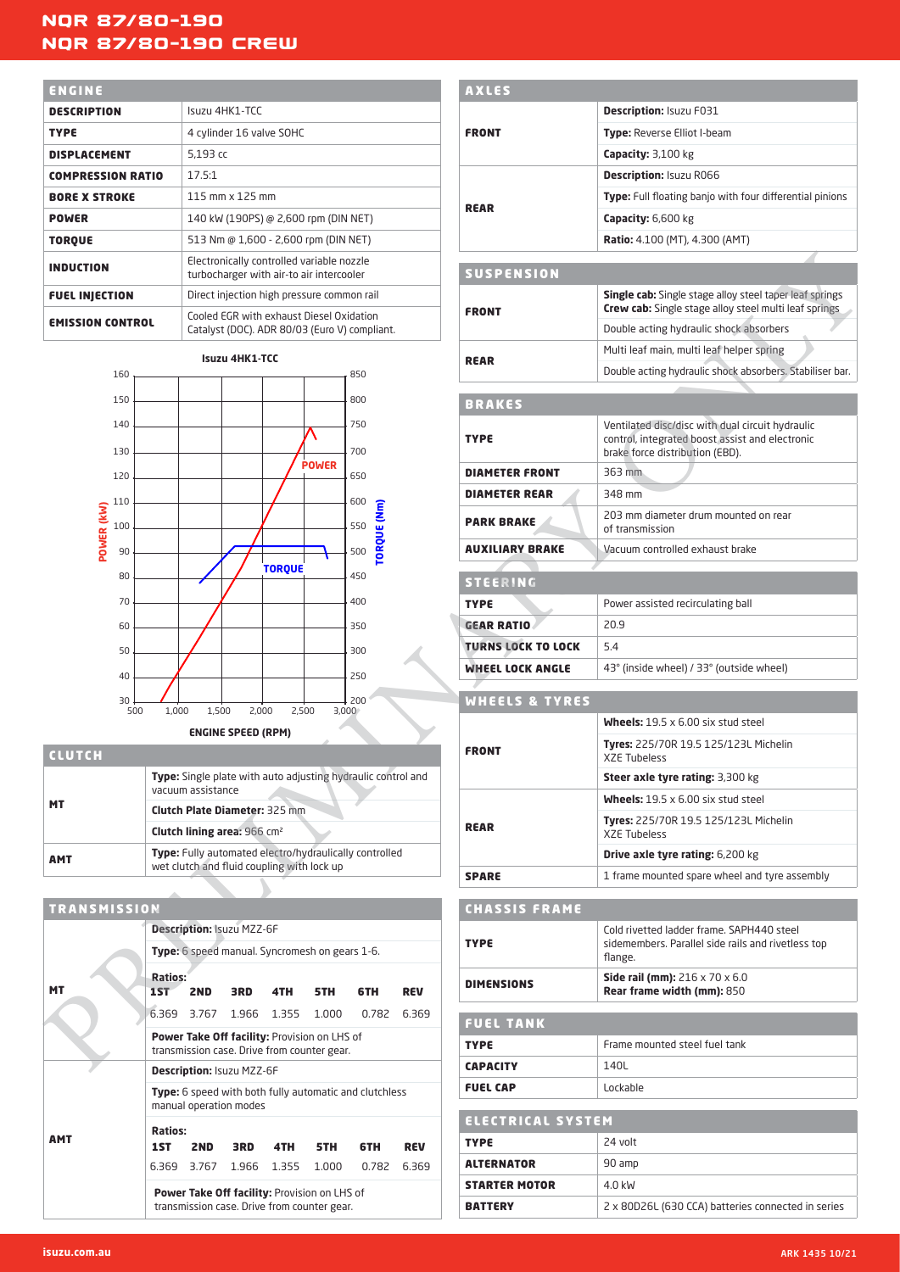# NQR 87/80-190 NQR 87/80-190 CREW

| ENGINE                   |                                                                                           |
|--------------------------|-------------------------------------------------------------------------------------------|
| <b>DESCRIPTION</b>       | ISUZU 4HK1-TCC                                                                            |
| <b>TYPE</b>              | 4 cylinder 16 valve SOHC                                                                  |
| <b>DISPLACEMENT</b>      | 5.193 cc                                                                                  |
| <b>COMPRESSION RATIO</b> | 17.5:1                                                                                    |
| <b>BORE X STROKE</b>     | 115 mm x 125 mm                                                                           |
| <b>POWER</b>             | 140 kW (190PS) @ 2,600 rpm (DIN NET)                                                      |
| <b>TORQUE</b>            | 513 Nm @ 1,600 - 2,600 rpm (DIN NET)                                                      |
| <b>INDUCTION</b>         | Electronically controlled variable nozzle<br>turbocharger with air-to air intercooler     |
| <b>FUEL INJECTION</b>    | Direct injection high pressure common rail                                                |
| <b>EMISSION CONTROL</b>  | Cooled EGR with exhaust Diesel Oxidation<br>Catalyst (DOC). ADR 80/03 (Euro V) compliant. |



| <b>CLUTCH</b> |                                                                                                      |
|---------------|------------------------------------------------------------------------------------------------------|
| <b>MT</b>     | <b>Type:</b> Single plate with auto adjusting hydraulic control and<br>vacuum assistance             |
|               | <b>Clutch Plate Diameter: 325 mm</b>                                                                 |
|               | Clutch lining area: 966 cm <sup>2</sup>                                                              |
| <b>AMT</b>    | Type: Fully automated electro/hydraulically controlled<br>wet clutch and fluid coupling with lock up |

| <b>TRANSMISSION</b> |                                                                                             |                                                |             |                         |                                                                                             |       |            |  |  |
|---------------------|---------------------------------------------------------------------------------------------|------------------------------------------------|-------------|-------------------------|---------------------------------------------------------------------------------------------|-------|------------|--|--|
|                     | <b>Description: Isuzu MZZ-6F</b>                                                            |                                                |             |                         |                                                                                             |       |            |  |  |
|                     |                                                                                             | Type: 6 speed manual. Syncromesh on gears 1-6. |             |                         |                                                                                             |       |            |  |  |
| МT                  | <b>Ratios:</b><br>1ST                                                                       | 2ND                                            | 3RD -       | 4TH <b>12</b>           | <b>5TH</b>                                                                                  | 6TH   | <b>REV</b> |  |  |
|                     |                                                                                             |                                                |             | 6.369 3.767 1.966 1.355 | 1.000                                                                                       | 0.782 | 6.369      |  |  |
|                     | Power Take Off facility: Provision on LHS of<br>transmission case. Drive from counter gear. |                                                |             |                         |                                                                                             |       |            |  |  |
|                     | <b>Description: Isuzu MZZ-6F</b>                                                            |                                                |             |                         |                                                                                             |       |            |  |  |
|                     | <b>Type:</b> 6 speed with both fully automatic and clutchless<br>manual operation modes     |                                                |             |                         |                                                                                             |       |            |  |  |
| амт                 | <b>Ratios:</b><br>1ST                                                                       | 2ND -                                          | 3RD         | 4TH <b>12</b>           | 5TH                                                                                         | 6TH   | <b>REV</b> |  |  |
|                     | 6.369                                                                                       |                                                | 3.767 1.966 | 1.355                   | 1.000                                                                                       | 0.782 | 6.369      |  |  |
|                     |                                                                                             |                                                |             |                         | Power Take Off facility: Provision on LHS of<br>transmission case. Drive from counter gear. |       |            |  |  |

| ENGINE                   |                              |                                         |                           |                                                                                             |              |                                                              |            | <b>AXLES</b>              |                                                                                                                                        |
|--------------------------|------------------------------|-----------------------------------------|---------------------------|---------------------------------------------------------------------------------------------|--------------|--------------------------------------------------------------|------------|---------------------------|----------------------------------------------------------------------------------------------------------------------------------------|
|                          |                              |                                         |                           |                                                                                             |              |                                                              |            |                           |                                                                                                                                        |
| <b>DESCRIPTION</b>       |                              |                                         | Isuzu 4HK1-TCC            |                                                                                             |              |                                                              |            |                           | <b>Description: Isuzu F031</b>                                                                                                         |
| <b>TYPE</b>              |                              |                                         |                           | 4 cylinder 16 valve SOHC                                                                    |              |                                                              |            | <b>FRONT</b>              | <b>Type:</b> Reverse Elliot I-beam                                                                                                     |
| <b>DISPLACEMENT</b>      |                              | 5,193 cc                                |                           |                                                                                             |              |                                                              |            |                           | Capacity: 3,100 kg                                                                                                                     |
| <b>COMPRESSION RATIO</b> |                              | 17.5:1                                  |                           |                                                                                             |              |                                                              |            |                           | <b>Description: Isuzu R066</b>                                                                                                         |
| <b>BORE X STROKE</b>     |                              |                                         | 115 mm x 125 mm           |                                                                                             |              |                                                              |            | <b>REAR</b>               | Type: Full floating banjo with four differential pinions                                                                               |
| <b>POWER</b>             |                              |                                         |                           | 140 kW (190PS) @ 2,600 rpm (DIN NET)                                                        |              |                                                              |            |                           | <b>Capacity:</b> 6,600 kg                                                                                                              |
| <b>TORQUE</b>            |                              |                                         |                           | 513 Nm @ 1,600 - 2,600 rpm (DIN NET)                                                        |              |                                                              |            |                           | Ratio: 4.100 (MT), 4.300 (AMT)                                                                                                         |
| <b>INDUCTION</b>         |                              |                                         |                           | Electronically controlled variable nozzle<br>turbocharger with air-to air intercooler       |              |                                                              |            | <b>SUSPENSION</b>         |                                                                                                                                        |
| <b>FUEL INJECTION</b>    |                              |                                         |                           | Direct injection high pressure common rail                                                  |              |                                                              |            |                           | Single cab: Single stage alloy steel taper leaf springs                                                                                |
| <b>EMISSION CONTROL</b>  |                              |                                         |                           | Cooled EGR with exhaust Diesel Oxidation                                                    |              | Catalyst (DOC). ADR 80/03 (Euro V) compliant.                |            | <b>FRONT</b>              | Crew cab: Single stage alloy steel multi leaf springs<br>Double acting hydraulic shock absorbers                                       |
| 160                      |                              |                                         | <b>Isuzu 4HK1-TCC</b>     |                                                                                             |              | 850                                                          |            | <b>REAR</b>               | Multi leaf main, multi leaf helper spring<br>Double acting hydraulic shock absorbers. Stabiliser bar.                                  |
| 150                      |                              |                                         |                           |                                                                                             |              |                                                              |            |                           |                                                                                                                                        |
|                          |                              |                                         |                           |                                                                                             |              | 800                                                          |            | <b>BRAKES</b>             |                                                                                                                                        |
| 140<br>130               |                              |                                         |                           |                                                                                             |              | 750<br>700                                                   |            | <b>TYPE</b>               | Ventilated disc/disc with dual circuit hydraulic<br>control, integrated boost assist and electronic<br>brake force distribution (EBD). |
| 120                      |                              |                                         |                           |                                                                                             | <b>POWER</b> | 650                                                          |            | <b>DIAMETER FRONT</b>     | 363 mm                                                                                                                                 |
|                          |                              |                                         |                           |                                                                                             |              |                                                              |            | <b>DIAMETER REAR</b>      | 348 mm                                                                                                                                 |
| 110<br>POWER (KW)<br>100 |                              |                                         |                           |                                                                                             |              | 600<br>TORQUE (Nm)<br>550                                    |            | <b>PARK BRAKE</b>         | 203 mm diameter drum mounted on rear<br>of transmission                                                                                |
| 90                       |                              |                                         |                           |                                                                                             |              | 500                                                          |            | <b>AUXILIARY BRAKE</b>    | Vacuum controlled exhaust brake                                                                                                        |
| 80                       |                              |                                         |                           | <b>TORQUE</b>                                                                               |              | 450                                                          |            | <b>STEERING</b>           |                                                                                                                                        |
| 70                       |                              |                                         |                           |                                                                                             |              | 400                                                          |            | <b>TYPE</b>               | Power assisted recirculating ball                                                                                                      |
| 60                       |                              |                                         |                           |                                                                                             |              | 350                                                          |            | <b>GEAR RATIO</b>         | 20.9                                                                                                                                   |
| 50                       |                              |                                         |                           |                                                                                             |              | 300                                                          |            | <b>TURNS LOCK TO LOCK</b> | 5.4                                                                                                                                    |
| 40                       |                              |                                         |                           |                                                                                             |              | 250                                                          |            | <b>WHEEL LOCK ANGLE</b>   | 43° (inside wheel) / 33° (outside wheel)                                                                                               |
| 30                       |                              |                                         |                           |                                                                                             |              | 200                                                          |            | <b>WHEELS &amp; TYRES</b> |                                                                                                                                        |
| 500                      | 1,000                        | 1,500                                   | 2,000                     | 2,500                                                                                       | 3,000        |                                                              |            |                           | <b>Wheels:</b> $19.5 \times 6.00$ six stud steel                                                                                       |
| <b>CLUTCH</b>            |                              |                                         | <b>ENGINE SPEED (RPM)</b> |                                                                                             |              |                                                              |            | <b>FRONT</b>              | <b>Tyres: 225/70R 19.5 125/123L Michelin</b><br><b>XZE Tubeless</b>                                                                    |
|                          |                              |                                         |                           |                                                                                             |              | Type: Single plate with auto adjusting hydraulic control and |            |                           | <b>Steer axle tyre rating: 3,300 kg</b>                                                                                                |
| МT                       |                              | vacuum assistance                       |                           |                                                                                             |              |                                                              |            |                           | <b>Wheels:</b> $19.5 \times 6.00$ six stud steel                                                                                       |
|                          |                              | Clutch lining area: 966 cm <sup>2</sup> |                           | <b>Clutch Plate Diameter: 325 mm</b>                                                        |              |                                                              |            | <b>REAR</b>               | <b>Tyres: 225/70R 19.5 125/123L Michelin</b><br><b>XZE Tubeless</b>                                                                    |
| <b>AMT</b>               |                              |                                         |                           |                                                                                             |              | Type: Fully automated electro/hydraulically controlled       |            |                           | Drive axle tyre rating: 6,200 kg                                                                                                       |
|                          |                              |                                         |                           | wet clutch and fluid coupling with lock up                                                  |              |                                                              |            | <b>SPARE</b>              | 1 frame mounted spare wheel and tyre assembly                                                                                          |
|                          |                              |                                         |                           |                                                                                             |              |                                                              |            |                           |                                                                                                                                        |
| <b>TRANSMISSION</b>      |                              |                                         |                           |                                                                                             |              |                                                              |            | <b>CHASSIS FRAME</b>      |                                                                                                                                        |
|                          |                              | <b>Description: Isuzu MZZ-6F</b>        |                           | Type: 6 speed manual. Syncromesh on gears 1-6.                                              |              |                                                              |            | <b>TYPE</b>               | Cold rivetted ladder frame. SAPH440 steel<br>sidemembers. Parallel side rails and rivetless top<br>flange.                             |
| МT                       | <b>Ratios:</b><br><b>15T</b> | 2ND                                     | 3RD                       | 4TH                                                                                         | 5TH          | 6TH                                                          | <b>REV</b> | <b>DIMENSIONS</b>         | <b>Side rail (mm):</b> $216 \times 70 \times 6.0$<br>Rear frame width (mm): 850                                                        |
|                          |                              | 6.369 3.767 1.966 1.355                 |                           |                                                                                             | 1.000        | 0.782 6.369                                                  |            | <b>FUEL TANK</b>          |                                                                                                                                        |
|                          |                              |                                         |                           | Power Take Off facility: Provision on LHS of<br>transmission case. Drive from counter gear. |              |                                                              |            | <b>TYPE</b>               | Frame mounted steel fuel tank                                                                                                          |
|                          |                              | Description: Isuzu MZZ-6F               |                           |                                                                                             |              |                                                              |            | <b>CAPACITY</b>           | 140L                                                                                                                                   |
|                          |                              | manual operation modes                  |                           |                                                                                             |              | Type: 6 speed with both fully automatic and clutchless       |            | <b>FUEL CAP</b>           | Lockable                                                                                                                               |
|                          | <b>Ratios:</b>               |                                         |                           |                                                                                             |              |                                                              |            | <b>ELECTRICAL SYSTEM</b>  |                                                                                                                                        |
| <b>AMT</b>               | 1ST                          | 2 <sub>ND</sub>                         | 3RD                       | 4TH                                                                                         | 5TH          | 6TH                                                          | <b>REV</b> | <b>TYPE</b>               | 24 volt                                                                                                                                |
|                          |                              | 6.369 3.767 1.966 1.355                 |                           |                                                                                             | 1.000        | 0.782 6.369                                                  |            | <b>ALTERNATOR</b>         | 90 amp                                                                                                                                 |
|                          |                              |                                         |                           |                                                                                             |              |                                                              |            | <b>STARTER MOTOR</b>      | 4.0 kW                                                                                                                                 |
|                          |                              |                                         |                           | Power Take Off facility: Provision on LHS of<br>transmission case. Drive from counter gear. |              |                                                              |            | <b>BATTERY</b>            | 2 x 80D26L (630 CCA) batteries connected in series                                                                                     |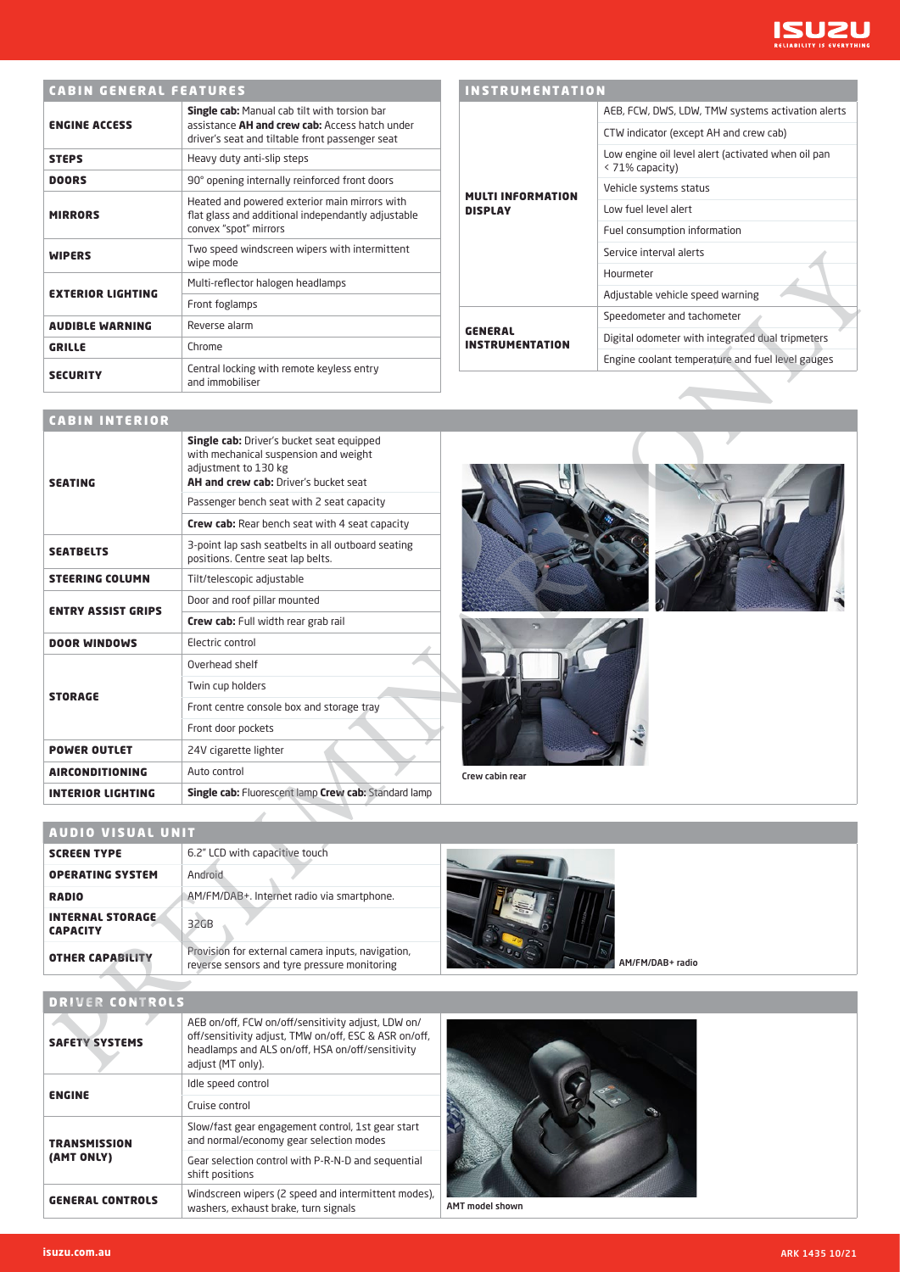

# CABIN GENERAL FEATURES

| <b>ENGINE ACCESS</b>     | <b>Single cab:</b> Manual cab tilt with torsion bar<br>assistance AH and crew cab: Access hatch under<br>driver's seat and tiltable front passenger seat |  |  |  |  |
|--------------------------|----------------------------------------------------------------------------------------------------------------------------------------------------------|--|--|--|--|
| <b>STEPS</b>             | Heavy duty anti-slip steps                                                                                                                               |  |  |  |  |
| <b>DOORS</b>             | 90° opening internally reinforced front doors                                                                                                            |  |  |  |  |
| <b>MIRRORS</b>           | Heated and powered exterior main mirrors with<br>flat glass and additional independantly adjustable<br>convex "spot" mirrors                             |  |  |  |  |
| <b>WIPERS</b>            | Two speed windscreen wipers with intermittent<br>wipe mode                                                                                               |  |  |  |  |
| <b>EXTERIOR LIGHTING</b> | Multi-reflector halogen headlamps                                                                                                                        |  |  |  |  |
|                          | Front foglamps                                                                                                                                           |  |  |  |  |
| <b>AUDIBLE WARNING</b>   | Reverse alarm                                                                                                                                            |  |  |  |  |
| <b>GRILLE</b>            | Chrome                                                                                                                                                   |  |  |  |  |
| <b>SECURITY</b>          | Central locking with remote keyless entry<br>and immobiliser                                                                                             |  |  |  |  |

|                                   | AEB, FCW, DWS, LDW, TMW systems activation alerts                     |  |  |  |  |
|-----------------------------------|-----------------------------------------------------------------------|--|--|--|--|
|                                   | CTW indicator (except AH and crew cab)                                |  |  |  |  |
|                                   | Low engine oil level alert (activated when oil pan<br>< 71% capacity) |  |  |  |  |
| MULTI INFORMATION                 | Vehicle systems status                                                |  |  |  |  |
| <b>DISPLAY</b>                    | Low fuel level alert                                                  |  |  |  |  |
|                                   | Fuel consumption information                                          |  |  |  |  |
|                                   | Service interval alerts                                               |  |  |  |  |
|                                   | Hourmeter                                                             |  |  |  |  |
|                                   | Adjustable vehicle speed warning                                      |  |  |  |  |
|                                   | Speedometer and tachometer                                            |  |  |  |  |
| <b>GENERAL</b><br>INSTRUMENTATION | Digital odometer with integrated dual tripmeters                      |  |  |  |  |
|                                   | Engine coolant temperature and fuel level gauges                      |  |  |  |  |







INSTRUMENTATION

AUDIO VISUAL UNIT

| AUDIU VISUAL UNII                          |                                                                                                   |                  |
|--------------------------------------------|---------------------------------------------------------------------------------------------------|------------------|
| <b>SCREEN TYPE</b>                         | 6.2" LCD with capacitive touch                                                                    |                  |
| <b>OPERATING SYSTEM</b>                    | Android                                                                                           |                  |
| <b>RADIO</b>                               | AM/FM/DAB+. Internet radio via smartphone.                                                        |                  |
| <b>INTERNAL STORAGE</b><br><b>CAPACITY</b> | 32GB                                                                                              |                  |
| <b>OTHER CAPABILITY</b>                    | Provision for external camera inputs, navigation,<br>reverse sensors and tyre pressure monitoring | AM/FM/DAB+ radio |
|                                            |                                                                                                   |                  |

#### DRIVER CONTROLS

| <b>SAFETY SYSTEMS</b>   | AEB on/off, FCW on/off/sensitivity adjust, LDW on/<br>off/sensitivity adjust, TMW on/off, ESC & ASR on/off,<br>headlamps and ALS on/off, HSA on/off/sensitivity<br>adjust (MT only). |
|-------------------------|--------------------------------------------------------------------------------------------------------------------------------------------------------------------------------------|
| <b>ENGINE</b>           | Idle speed control                                                                                                                                                                   |
|                         | Cruise control                                                                                                                                                                       |
| <b>TRANSMISSION</b>     | Slow/fast gear engagement control, 1st gear start<br>and normal/economy gear selection modes                                                                                         |
| (AMT ONLY)              | Gear selection control with P-R-N-D and sequential<br>shift positions                                                                                                                |
| <b>GENERAL CONTROLS</b> | Windscreen wipers (2 speed and intermittent modes),<br>washers, exhaust brake, turn signals                                                                                          |



AMT model shown